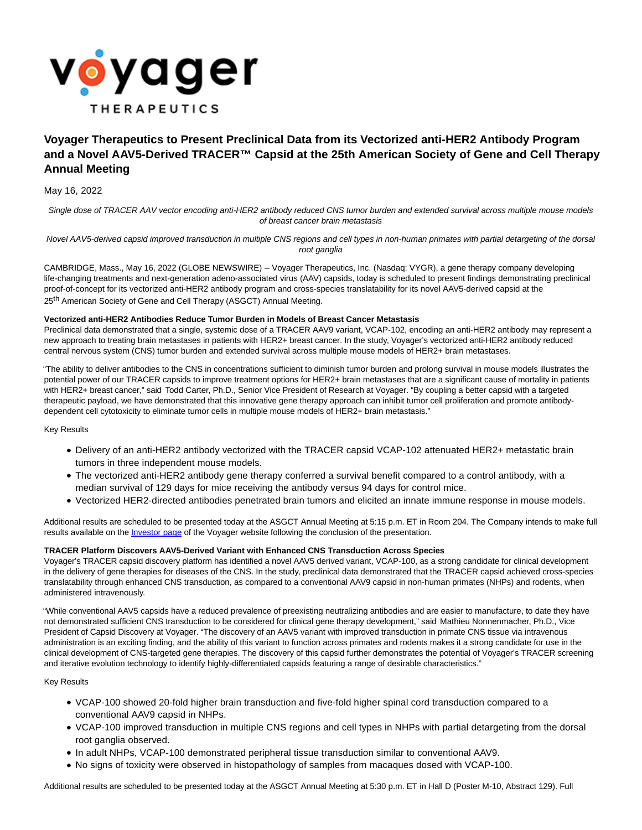

# **Voyager Therapeutics to Present Preclinical Data from its Vectorized anti-HER2 Antibody Program and a Novel AAV5-Derived TRACER™ Capsid at the 25th American Society of Gene and Cell Therapy Annual Meeting**

May 16, 2022

Single dose of TRACER AAV vector encoding anti-HER2 antibody reduced CNS tumor burden and extended survival across multiple mouse models of breast cancer brain metastasis

Novel AAV5-derived capsid improved transduction in multiple CNS regions and cell types in non-human primates with partial detargeting of the dorsal root ganglia

CAMBRIDGE, Mass., May 16, 2022 (GLOBE NEWSWIRE) -- Voyager Therapeutics, Inc. (Nasdaq: VYGR), a gene therapy company developing life-changing treatments and next-generation adeno-associated virus (AAV) capsids, today is scheduled to present findings demonstrating preclinical proof-of-concept for its vectorized anti-HER2 antibody program and cross-species translatability for its novel AAV5-derived capsid at the 25<sup>th</sup> American Society of Gene and Cell Therapy (ASGCT) Annual Meeting.

# **Vectorized anti-HER2 Antibodies Reduce Tumor Burden in Models of Breast Cancer Metastasis**

Preclinical data demonstrated that a single, systemic dose of a TRACER AAV9 variant, VCAP-102, encoding an anti-HER2 antibody may represent a new approach to treating brain metastases in patients with HER2+ breast cancer. In the study, Voyager's vectorized anti-HER2 antibody reduced central nervous system (CNS) tumor burden and extended survival across multiple mouse models of HER2+ brain metastases.

"The ability to deliver antibodies to the CNS in concentrations sufficient to diminish tumor burden and prolong survival in mouse models illustrates the potential power of our TRACER capsids to improve treatment options for HER2+ brain metastases that are a significant cause of mortality in patients with HER2+ breast cancer," said Todd Carter, Ph.D., Senior Vice President of Research at Voyager. "By coupling a better capsid with a targeted therapeutic payload, we have demonstrated that this innovative gene therapy approach can inhibit tumor cell proliferation and promote antibodydependent cell cytotoxicity to eliminate tumor cells in multiple mouse models of HER2+ brain metastasis."

Key Results

- Delivery of an anti-HER2 antibody vectorized with the TRACER capsid VCAP-102 attenuated HER2+ metastatic brain tumors in three independent mouse models.
- The vectorized anti-HER2 antibody gene therapy conferred a survival benefit compared to a control antibody, with a median survival of 129 days for mice receiving the antibody versus 94 days for control mice.
- Vectorized HER2-directed antibodies penetrated brain tumors and elicited an innate immune response in mouse models.

Additional results are scheduled to be presented today at the ASGCT Annual Meeting at 5:15 p.m. ET in Room 204. The Company intends to make full results available on the *Investor page* of the Voyager website following the conclusion of the presentation.

# **TRACER Platform Discovers AAV5-Derived Variant with Enhanced CNS Transduction Across Species**

Voyager's TRACER capsid discovery platform has identified a novel AAV5 derived variant, VCAP-100, as a strong candidate for clinical development in the delivery of gene therapies for diseases of the CNS. In the study, preclinical data demonstrated that the TRACER capsid achieved cross-species translatability through enhanced CNS transduction, as compared to a conventional AAV9 capsid in non-human primates (NHPs) and rodents, when administered intravenously.

"While conventional AAV5 capsids have a reduced prevalence of preexisting neutralizing antibodies and are easier to manufacture, to date they have not demonstrated sufficient CNS transduction to be considered for clinical gene therapy development," said Mathieu Nonnenmacher, Ph.D., Vice President of Capsid Discovery at Voyager. "The discovery of an AAV5 variant with improved transduction in primate CNS tissue via intravenous administration is an exciting finding, and the ability of this variant to function across primates and rodents makes it a strong candidate for use in the clinical development of CNS-targeted gene therapies. The discovery of this capsid further demonstrates the potential of Voyager's TRACER screening and iterative evolution technology to identify highly-differentiated capsids featuring a range of desirable characteristics."

# Key Results

- VCAP-100 showed 20-fold higher brain transduction and five-fold higher spinal cord transduction compared to a conventional AAV9 capsid in NHPs.
- VCAP-100 improved transduction in multiple CNS regions and cell types in NHPs with partial detargeting from the dorsal root ganglia observed.
- In adult NHPs, VCAP-100 demonstrated peripheral tissue transduction similar to conventional AAV9.
- No signs of toxicity were observed in histopathology of samples from macaques dosed with VCAP-100.

Additional results are scheduled to be presented today at the ASGCT Annual Meeting at 5:30 p.m. ET in Hall D (Poster M-10, Abstract 129). Full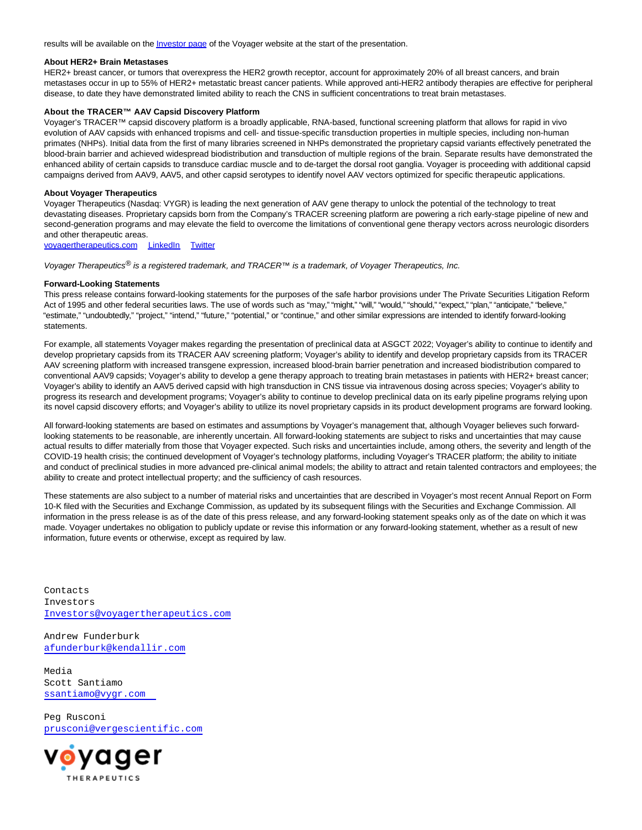results will be available on th[e Investor page o](https://www.globenewswire.com/Tracker?data=Oxsrh79MBPBoYX5zDLRMh7SPQMlZQC_x8Zd9rX7Ovczbkc9DOExd3UafVpb_qxiRN0YcOVkI73SpWH1Im83B-nQW-xGag_0A9jdb3ADLSou0GmTEi8NlRl5-yDf-NVps)f the Voyager website at the start of the presentation.

#### **About HER2+ Brain Metastases**

HER2+ breast cancer, or tumors that overexpress the HER2 growth receptor, account for approximately 20% of all breast cancers, and brain metastases occur in up to 55% of HER2+ metastatic breast cancer patients. While approved anti-HER2 antibody therapies are effective for peripheral disease, to date they have demonstrated limited ability to reach the CNS in sufficient concentrations to treat brain metastases.

## **About the TRACER™ AAV Capsid Discovery Platform**

Voyager's TRACER™ capsid discovery platform is a broadly applicable, RNA-based, functional screening platform that allows for rapid in vivo evolution of AAV capsids with enhanced tropisms and cell- and tissue-specific transduction properties in multiple species, including non-human primates (NHPs). Initial data from the first of many libraries screened in NHPs demonstrated the proprietary capsid variants effectively penetrated the blood-brain barrier and achieved widespread biodistribution and transduction of multiple regions of the brain. Separate results have demonstrated the enhanced ability of certain capsids to transduce cardiac muscle and to de-target the dorsal root ganglia. Voyager is proceeding with additional capsid campaigns derived from AAV9, AAV5, and other capsid serotypes to identify novel AAV vectors optimized for specific therapeutic applications.

## **About Voyager Therapeutics**

Voyager Therapeutics (Nasdaq: VYGR) is leading the next generation of AAV gene therapy to unlock the potential of the technology to treat devastating diseases. Proprietary capsids born from the Company's TRACER screening platform are powering a rich early-stage pipeline of new and second-generation programs and may elevate the field to overcome the limitations of conventional gene therapy vectors across neurologic disorders and other therapeutic areas.

[voyagertherapeutics.com](https://www.globenewswire.com/Tracker?data=w40rRLB23vbDzk0JKbx5YoLn-jw35I_6OmIa7H0gs1x2of_3Zz8RNDaXrzoEzgo92NyQeBiqAUMJ0Ibv6f1e4qDkBwA11vj-AsicWwrcK2FpVCbnWomsgnTsA7_rFTpG) [LinkedIn](https://www.globenewswire.com/Tracker?data=14n27pALzEHgE2To5PON6PPQvrY0NlnbtbTZ4WMT9FfSkIuDAKiZUK3X9cbdY7XUMlvRmcuCPMPpAq5C-0cp6IdqvjK4WAbywOl_P46DacSVD7FKk86pOdJlV3By9E8E) [Twitter](https://www.globenewswire.com/Tracker?data=o3haC49oxyxDikpJRSU33weES2bogzpsOVK0HuoTd464prourcXDECGOpchCu7NCHirVWtlnD5wMPhHOAeKnkg==)

Voyager Therapeutics<sup>®</sup> is a registered trademark, and TRACER™ is a trademark, of Voyager Therapeutics, Inc.

#### **Forward-Looking Statements**

This press release contains forward-looking statements for the purposes of the safe harbor provisions under The Private Securities Litigation Reform Act of 1995 and other federal securities laws. The use of words such as "may," "might," "will," "would," "should," "expect," "plan," "anticipate," "believe," "estimate," "undoubtedly," "project," "intend," "future," "potential," or "continue," and other similar expressions are intended to identify forward-looking statements.

For example, all statements Voyager makes regarding the presentation of preclinical data at ASGCT 2022; Voyager's ability to continue to identify and develop proprietary capsids from its TRACER AAV screening platform; Voyager's ability to identify and develop proprietary capsids from its TRACER AAV screening platform with increased transgene expression, increased blood-brain barrier penetration and increased biodistribution compared to conventional AAV9 capsids; Voyager's ability to develop a gene therapy approach to treating brain metastases in patients with HER2+ breast cancer; Voyager's ability to identify an AAV5 derived capsid with high transduction in CNS tissue via intravenous dosing across species; Voyager's ability to progress its research and development programs; Voyager's ability to continue to develop preclinical data on its early pipeline programs relying upon its novel capsid discovery efforts; and Voyager's ability to utilize its novel proprietary capsids in its product development programs are forward looking.

All forward-looking statements are based on estimates and assumptions by Voyager's management that, although Voyager believes such forwardlooking statements to be reasonable, are inherently uncertain. All forward-looking statements are subject to risks and uncertainties that may cause actual results to differ materially from those that Voyager expected. Such risks and uncertainties include, among others, the severity and length of the COVID-19 health crisis; the continued development of Voyager's technology platforms, including Voyager's TRACER platform; the ability to initiate and conduct of preclinical studies in more advanced pre-clinical animal models; the ability to attract and retain talented contractors and employees; the ability to create and protect intellectual property; and the sufficiency of cash resources.

These statements are also subject to a number of material risks and uncertainties that are described in Voyager's most recent Annual Report on Form 10-K filed with the Securities and Exchange Commission, as updated by its subsequent filings with the Securities and Exchange Commission. All information in the press release is as of the date of this press release, and any forward-looking statement speaks only as of the date on which it was made. Voyager undertakes no obligation to publicly update or revise this information or any forward-looking statement, whether as a result of new information, future events or otherwise, except as required by law.

Contacts Investors [Investors@voyagertherapeutics.com](mailto:Investors@voyagertherapeutics.com)

Andrew Funderburk [afunderburk@kendallir.com](mailto:afunderburk@kendallir.com)

Media Scott Santiamo [ssantiamo@vygr.com](mailto:ssantiamo@vygr.com%C2%A0%C2%A0) 

Peg Rusconi [prusconi@vergescientific.com](mailto:prusconi@vergescientific.com)